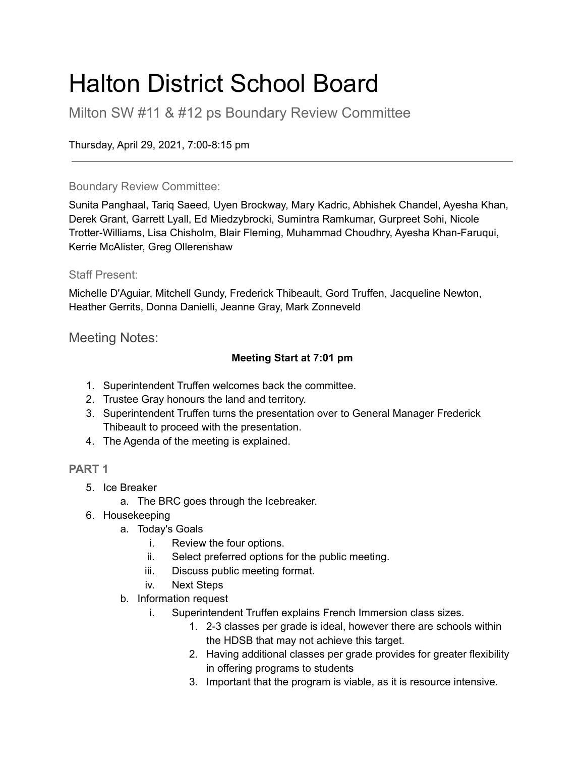### Halton District School Board

Milton SW #11 & #12 ps Boundary Review Committee

Thursday, April 29, 2021, 7:00-8:15 pm

### Boundary Review Committee:

Sunita Panghaal, Tariq Saeed, Uyen Brockway, Mary Kadric, Abhishek Chandel, Ayesha Khan, Derek Grant, Garrett Lyall, Ed Miedzybrocki, Sumintra Ramkumar, Gurpreet Sohi, Nicole Trotter-Williams, Lisa Chisholm, Blair Fleming, Muhammad Choudhry, Ayesha Khan-Faruqui, Kerrie McAlister, Greg Ollerenshaw

### Staff Present:

Michelle D'Aguiar, Mitchell Gundy, Frederick Thibeault, Gord Truffen, Jacqueline Newton, Heather Gerrits, Donna Danielli, Jeanne Gray, Mark Zonneveld

Meeting Notes:

### **Meeting Start at 7:01 pm**

- 1. Superintendent Truffen welcomes back the committee.
- 2. Trustee Gray honours the land and territory.
- 3. Superintendent Truffen turns the presentation over to General Manager Frederick Thibeault to proceed with the presentation.
- 4. The Agenda of the meeting is explained.

### **PART 1**

- 5. Ice Breaker
	- a. The BRC goes through the Icebreaker.
- 6. Housekeeping
	- a. Today's Goals
		- i. Review the four options.
		- ii. Select preferred options for the public meeting.
		- iii. Discuss public meeting format.
		- iv. Next Steps
	- b. Information request
		- i. Superintendent Truffen explains French Immersion class sizes.
			- 1. 2-3 classes per grade is ideal, however there are schools within the HDSB that may not achieve this target.
			- 2. Having additional classes per grade provides for greater flexibility in offering programs to students
			- 3. Important that the program is viable, as it is resource intensive.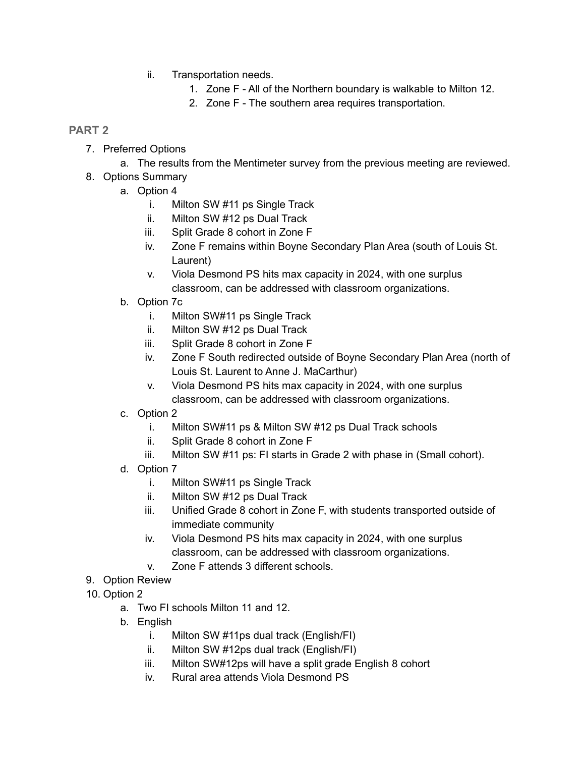- ii. Transportation needs.
	- 1. Zone F All of the Northern boundary is walkable to Milton 12.
	- 2. Zone F The southern area requires transportation.

### **PART 2**

- 7. Preferred Options
	- a. The results from the Mentimeter survey from the previous meeting are reviewed.
- 8. Options Summary
	- a. Option 4
		- i. Milton SW #11 ps Single Track
		- ii. Milton SW #12 ps Dual Track
		- iii. Split Grade 8 cohort in Zone F
		- iv. Zone F remains within Boyne Secondary Plan Area (south of Louis St. Laurent)
		- v. Viola Desmond PS hits max capacity in 2024, with one surplus classroom, can be addressed with classroom organizations.
	- b. Option 7c
		- i. Milton SW#11 ps Single Track
		- ii. Milton SW #12 ps Dual Track
		- iii. Split Grade 8 cohort in Zone F
		- iv. Zone F South redirected outside of Boyne Secondary Plan Area (north of Louis St. Laurent to Anne J. MaCarthur)
		- v. Viola Desmond PS hits max capacity in 2024, with one surplus classroom, can be addressed with classroom organizations.
	- c. Option 2
		- i. Milton SW#11 ps & Milton SW #12 ps Dual Track schools
		- ii. Split Grade 8 cohort in Zone F
		- iii. Milton SW #11 ps: FI starts in Grade 2 with phase in (Small cohort).
	- d. Option 7
		- i. Milton SW#11 ps Single Track
		- ii. Milton SW #12 ps Dual Track
		- iii. Unified Grade 8 cohort in Zone F, with students transported outside of immediate community
		- iv. Viola Desmond PS hits max capacity in 2024, with one surplus classroom, can be addressed with classroom organizations.
		- v. Zone F attends 3 different schools.
- 9. Option Review
- 10. Option 2
	- a. Two FI schools Milton 11 and 12.
	- b. English
		- i. Milton SW #11ps dual track (English/FI)
		- ii. Milton SW #12ps dual track (English/FI)
		- iii. Milton SW#12ps will have a split grade English 8 cohort
		- iv. Rural area attends Viola Desmond PS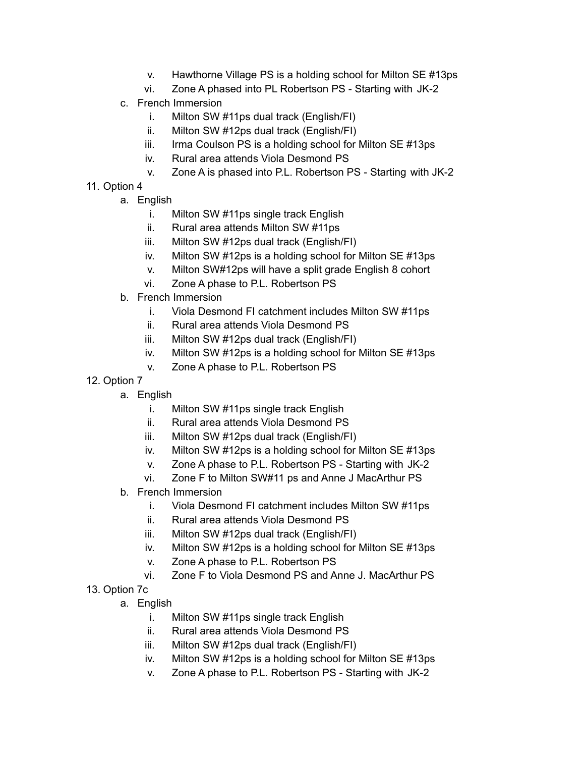- v. Hawthorne Village PS is a holding school for Milton SE #13ps
- vi. Zone A phased into PL Robertson PS Starting with JK-2
- c. French Immersion
	- i. Milton SW #11ps dual track (English/FI)
	- ii. Milton SW #12ps dual track (English/FI)
	- iii. Irma Coulson PS is a holding school for Milton SE #13ps
	- iv. Rural area attends Viola Desmond PS
	- v. Zone A is phased into P.L. Robertson PS Starting with JK-2
- 11. Option 4
	- a. English
		- i. Milton SW #11ps single track English
		- ii. Rural area attends Milton SW #11ps
		- iii. Milton SW #12ps dual track (English/FI)
		- iv. Milton SW #12ps is a holding school for Milton SE #13ps
		- v. Milton SW#12ps will have a split grade English 8 cohort
		- vi. Zone A phase to P.L. Robertson PS
	- b. French Immersion
		- i. Viola Desmond FI catchment includes Milton SW #11ps
		- ii. Rural area attends Viola Desmond PS
		- iii. Milton SW #12ps dual track (English/FI)
		- iv. Milton SW #12ps is a holding school for Milton SE #13ps
		- v. Zone A phase to P.L. Robertson PS
- 12. Option 7
	- a. English
		- i. Milton SW #11ps single track English
		- ii. Rural area attends Viola Desmond PS
		- iii. Milton SW #12ps dual track (English/FI)
		- iv. Milton SW #12ps is a holding school for Milton SE #13ps
		- v. Zone A phase to P.L. Robertson PS Starting with JK-2
		- vi. Zone F to Milton SW#11 ps and Anne J MacArthur PS
	- b. French Immersion
		- i. Viola Desmond FI catchment includes Milton SW #11ps
		- ii. Rural area attends Viola Desmond PS
		- iii. Milton SW #12ps dual track (English/FI)
		- iv. Milton SW #12ps is a holding school for Milton SE #13ps
		- v. Zone A phase to P.L. Robertson PS
		- vi. Zone F to Viola Desmond PS and Anne J. MacArthur PS
- 13. Option 7c
	- a. English
		- i. Milton SW #11ps single track English
		- ii. Rural area attends Viola Desmond PS
		- iii. Milton SW #12ps dual track (English/FI)
		- iv. Milton SW #12ps is a holding school for Milton SE #13ps
		- v. Zone A phase to P.L. Robertson PS Starting with JK-2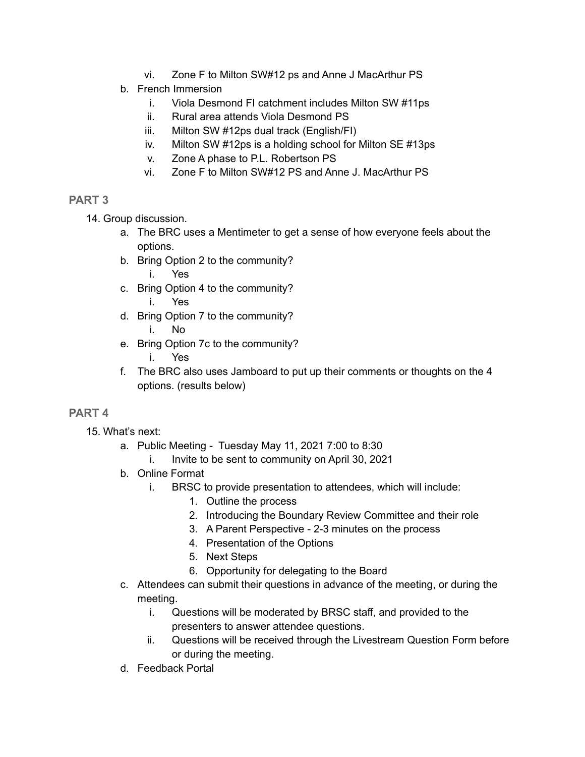- vi. Zone F to Milton SW#12 ps and Anne J MacArthur PS
- b. French Immersion
	- i. Viola Desmond FI catchment includes Milton SW #11ps
	- ii. Rural area attends Viola Desmond PS
	- iii. Milton SW #12ps dual track (English/FI)
	- iv. Milton SW #12ps is a holding school for Milton SE #13ps
	- v. Zone A phase to P.L. Robertson PS
	- vi. Zone F to Milton SW#12 PS and Anne J. MacArthur PS

### **PART 3**

14. Group discussion.

- a. The BRC uses a Mentimeter to get a sense of how everyone feels about the options.
- b. Bring Option 2 to the community?
	- i. Yes
- c. Bring Option 4 to the community? i. Yes
- d. Bring Option 7 to the community? i. No
- e. Bring Option 7c to the community?
	- i. Yes
- f. The BRC also uses Jamboard to put up their comments or thoughts on the 4 options. (results below)

### **PART 4**

- 15. What's next:
	- a. Public Meeting Tuesday May 11, 2021 7:00 to 8:30
		- i. Invite to be sent to community on April 30, 2021
	- b. Online Format
		- i. BRSC to provide presentation to attendees, which will include:
			- 1. Outline the process
			- 2. Introducing the Boundary Review Committee and their role
			- 3. A Parent Perspective 2-3 minutes on the process
			- 4. Presentation of the Options
			- 5. Next Steps
			- 6. Opportunity for delegating to the Board
	- c. Attendees can submit their questions in advance of the meeting, or during the meeting.
		- i. Questions will be moderated by BRSC staff, and provided to the presenters to answer attendee questions.
		- ii. Questions will be received through the Livestream Question Form before or during the meeting.
	- d. Feedback Portal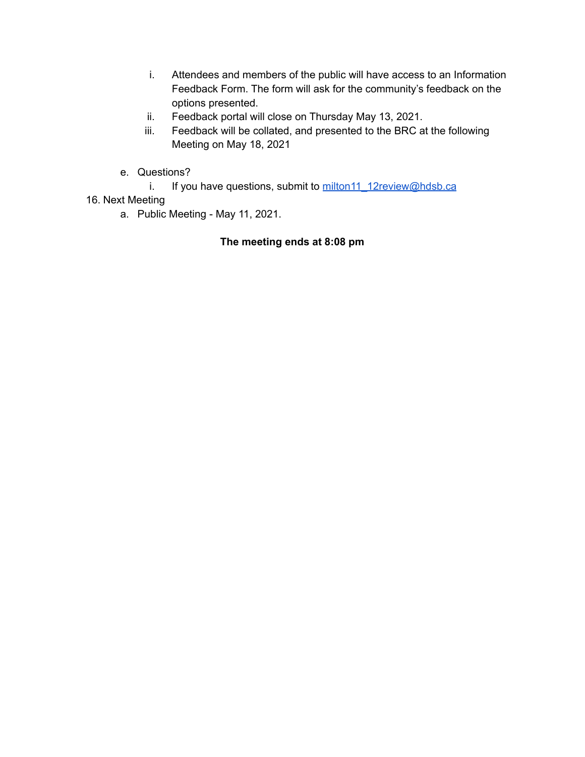- i. Attendees and members of the public will have access to an Information Feedback Form. The form will ask for the community's feedback on the options presented.
- ii. Feedback portal will close on Thursday May 13, 2021.
- iii. Feedback will be collated, and presented to the BRC at the following Meeting on May 18, 2021
- e. Questions?
	- i. If you have questions, submit to [milton11\\_12review@hdsb.ca](mailto:milton11_12review@hdsb.ca)

### 16. Next Meeting

a. Public Meeting - May 11, 2021.

### **The meeting ends at 8:08 pm**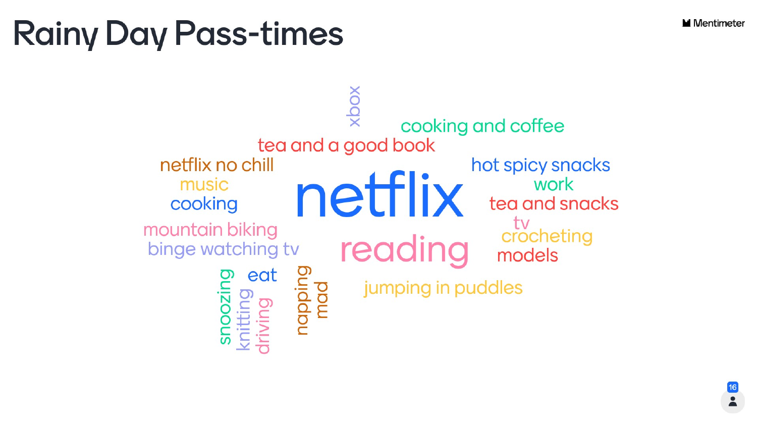# **Rainy Day Pass-times**

tea and a good book netflix no chill music cooking mountain biking binge watching tv eat nappin





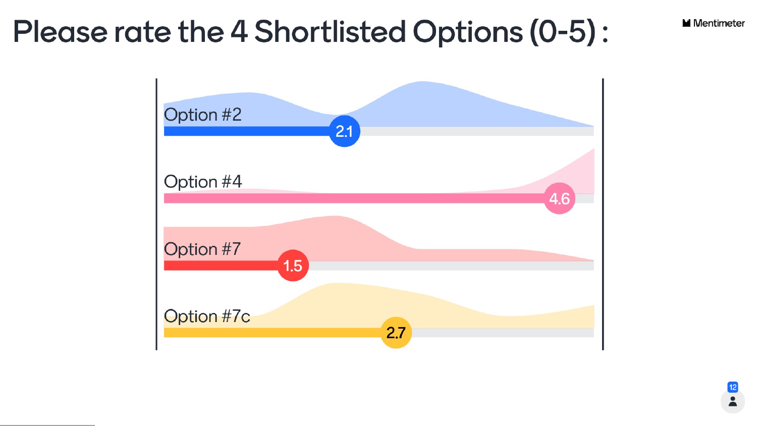## Please rate the 4 Shortlisted Options (0-5):





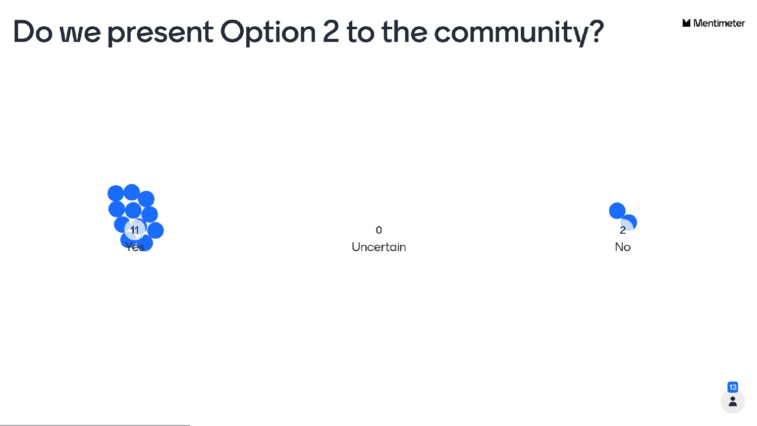### Do we present Option 2 to the community?



 $\mathsf{o}$ Uncertain





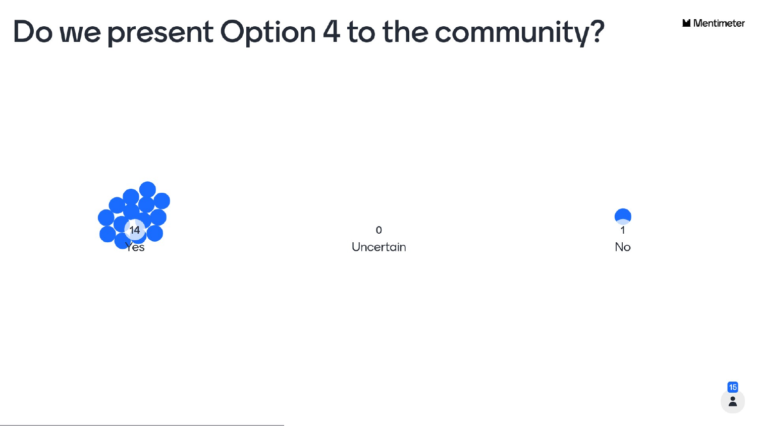### Do we present Option 4 to the community?



 $\mathsf{o}$ Uncertain





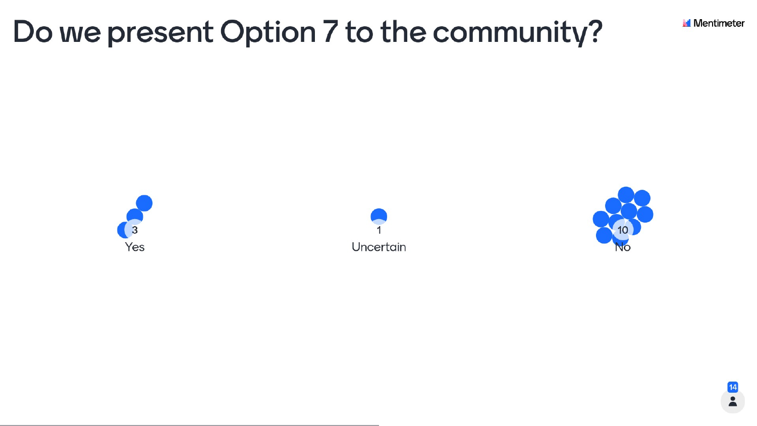### Do we present Option 7 to the community?









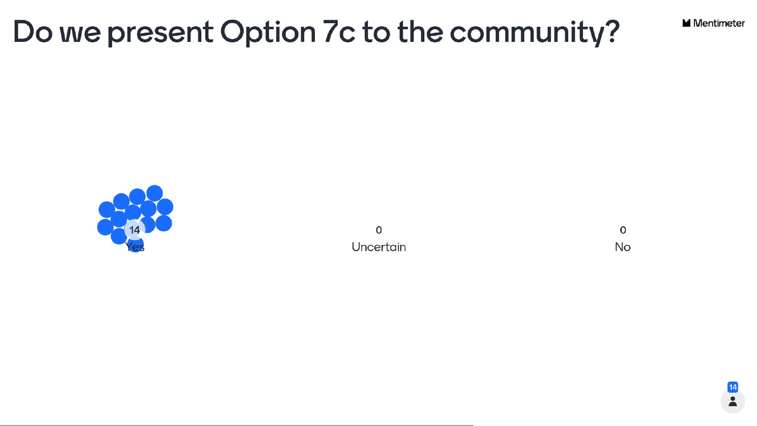### Do we present Option 7c to the community?



 $\mathsf{o}$ Uncertain

 $\mathsf{o}$ No